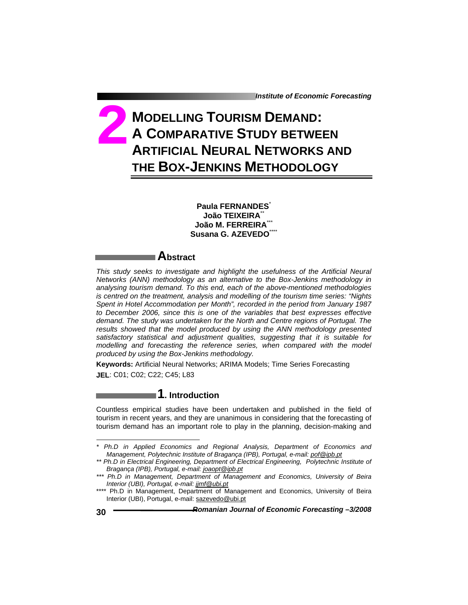# **MODELLING TOURISM DEMAND: A COMPARATIVE STUDY BETWEEN ARTIFICIAL NEURAL NETWORKS AND THE BOX-JENKINS METHODOLOGY 2**

**Paula FERNANDES**\* **João TEIXEIRA**\*\* **João M. FERREIRA**\*\*\* **Susana G. AZEVEDO**\*\*\*\*

### **Abstract**

*This study seeks to investigate and highlight the usefulness of the Artificial Neural Networks (ANN) methodology as an alternative to the Box-Jenkins methodology in analysing tourism demand. To this end, each of the above-mentioned methodologies is centred on the treatment, analysis and modelling of the tourism time series: "Nights Spent in Hotel Accommodation per Month", recorded in the period from January 1987 to December 2006, since this is one of the variables that best expresses effective demand. The study was undertaken for the North and Centre regions of Portugal. The results showed that the model produced by using the ANN methodology presented satisfactory statistical and adjustment qualities, suggesting that it is suitable for*  modelling and forecasting the reference series, when compared with the model *produced by using the Box-Jenkins methodology.* 

**Keywords:** Artificial Neural Networks; ARIMA Models; Time Series Forecasting **JEL**: C01; C02; C22; C45; L83

**1. Introduction** 

Countless empirical studies have been undertaken and published in the field of tourism in recent years, and they are unanimous in considering that the forecasting of tourism demand has an important role to play in the planning, decision-making and

 $\overline{a}$ 

*<sup>\*</sup> Ph.D in Applied Economics and Regional Analysis, Department of Economics and Management, Polytechnic Institute of Bragança (IPB), Portugal, e-mail: pof@ipb.pt*

*<sup>\*\*</sup> Ph.D in Electrical Engineering, Department of Electrical Engineering, Polytechnic Institute of Bragança (IPB), Portugal, e-mail: joaopt@ipb.pt*

*<sup>\*\*\*</sup> Ph.D in Management, Department of Management and Economics, University of Beira Interior (UBI), Portugal, e-mail: jjmf@ubi.pt*

<sup>\*\*\*\*</sup> Ph.D in Management, Department of Management and Economics, University of Beira Interior (UBI), Portugal, e-mail: sazevedo@ubi.pt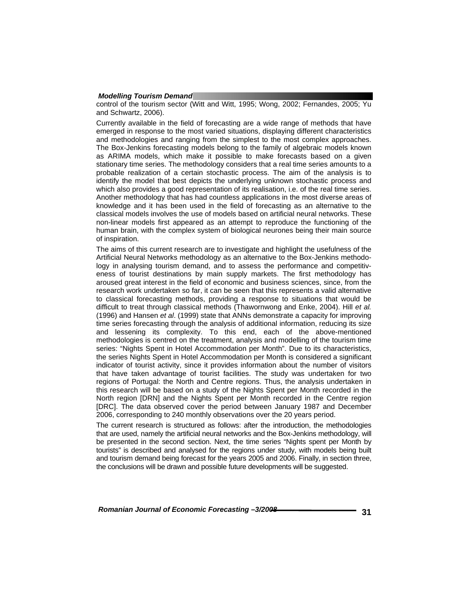control of the tourism sector (Witt and Witt, 1995; Wong, 2002; Fernandes, 2005; Yu and Schwartz, 2006).

Currently available in the field of forecasting are a wide range of methods that have emerged in response to the most varied situations, displaying different characteristics and methodologies and ranging from the simplest to the most complex approaches. The Box-Jenkins forecasting models belong to the family of algebraic models known as ARIMA models, which make it possible to make forecasts based on a given stationary time series. The methodology considers that a real time series amounts to a probable realization of a certain stochastic process. The aim of the analysis is to identify the model that best depicts the underlying unknown stochastic process and which also provides a good representation of its realisation, i.e. of the real time series. Another methodology that has had countless applications in the most diverse areas of knowledge and it has been used in the field of forecasting as an alternative to the classical models involves the use of models based on artificial neural networks. These non-linear models first appeared as an attempt to reproduce the functioning of the human brain, with the complex system of biological neurones being their main source of inspiration.

The aims of this current research are to investigate and highlight the usefulness of the Artificial Neural Networks methodology as an alternative to the Box-Jenkins methodology in analysing tourism demand, and to assess the performance and competitiveness of tourist destinations by main supply markets. The first methodology has aroused great interest in the field of economic and business sciences, since, from the research work undertaken so far, it can be seen that this represents a valid alternative to classical forecasting methods, providing a response to situations that would be difficult to treat through classical methods (Thawornwong and Enke, 2004). Hill *et al.* (1996) and Hansen *et al*. (1999) state that ANNs demonstrate a capacity for improving time series forecasting through the analysis of additional information, reducing its size and lessening its complexity. To this end, each of the above-mentioned methodologies is centred on the treatment, analysis and modelling of the tourism time series: "Nights Spent in Hotel Accommodation per Month". Due to its characteristics, the series Nights Spent in Hotel Accommodation per Month is considered a significant indicator of tourist activity, since it provides information about the number of visitors that have taken advantage of tourist facilities. The study was undertaken for two regions of Portugal: the North and Centre regions. Thus, the analysis undertaken in this research will be based on a study of the Nights Spent per Month recorded in the North region [DRN] and the Nights Spent per Month recorded in the Centre region [DRC]. The data observed cover the period between January 1987 and December 2006, corresponding to 240 monthly observations over the 20 years period.

The current research is structured as follows: after the introduction, the methodologies that are used, namely the artificial neural networks and the Box-Jenkins methodology, will be presented in the second section. Next, the time series "Nights spent per Month by tourists" is described and analysed for the regions under study, with models being built and tourism demand being forecast for the years 2005 and 2006. Finally, in section three, the conclusions will be drawn and possible future developments will be suggested.

Romanian Journal of Economic Forecasting  $-3/2008$  **2008 1201 1201 31**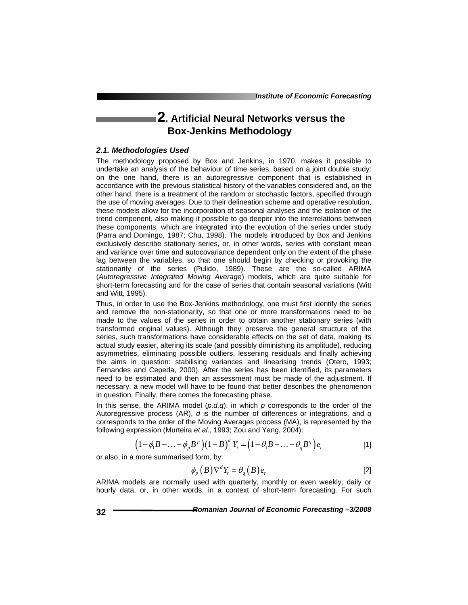*Institute of Economic Forecasting*

## **2. Artificial Neural Networks versus the Box-Jenkins Methodology**

#### *2.1. Methodologies Used*

The methodology proposed by Box and Jenkins, in 1970, makes it possible to undertake an analysis of the behaviour of time series, based on a joint double study: on the one hand, there is an autoregressive component that is established in accordance with the previous statistical history of the variables considered and, on the other hand, there is a treatment of the random or stochastic factors, specified through the use of moving averages. Due to their delineation scheme and operative resolution, these models allow for the incorporation of seasonal analyses and the isolation of the trend component, also making it possible to go deeper into the interrelations between these components, which are integrated into the evolution of the series under study (Parra and Domingo, 1987; Chu, 1998). The models introduced by Box and Jenkins exclusively describe stationary series, or, in other words, series with constant mean and variance over time and autocovariance dependent only on the extent of the phase lag between the variables, so that one should begin by checking or provoking the stationarity of the series (Pulido, 1989). These are the so-called ARIMA (*Autoregressive Integrated Moving Average*) models, which are quite suitable for short-term forecasting and for the case of series that contain seasonal variations (Witt and Witt, 1995).

Thus, in order to use the Box-Jenkins methodology, one must first identify the series and remove the non-stationarity, so that one or more transformations need to be made to the values of the series in order to obtain another stationary series (with transformed original values). Although they preserve the general structure of the series, such transformations have considerable effects on the set of data, making its actual study easier, altering its scale (and possibly diminishing its amplitude), reducing asymmetries, eliminating possible outliers, lessening residuals and finally achieving the aims in question: stabilising variances and linearising trends (Otero, 1993; Fernandes and Cepeda, 2000). After the series has been identified, its parameters need to be estimated and then an assessment must be made of the adjustment. If necessary, a new model will have to be found that better describes the phenomenon in question. Finally, there comes the forecasting phase.

In this sense, the ARIMA model  $(p,d,q)$ , in which  $p$  corresponds to the order of the Autoregressive process (AR), *d* is the number of differences or integrations, and *q* corresponds to the order of the Moving Averages process (MA), is represented by the following expression (Murteira *et al*., 1993; Zou and Yang, 2004):

$$
(1-\phi_1B-\ldots-\phi_pB^p)(1-B)^dY_t=\left(1-\theta_1B-\ldots-\theta_qB^q\right)e_t
$$
 [1]

or also, in a more summarised form, by:

$$
\phi_p(B)\nabla^d Y_t = \theta_q(B)e_t \tag{2}
$$

ARIMA models are normally used with quarterly, monthly or even weekly, daily or hourly data, or, in other words, in a context of short-term forecasting. For such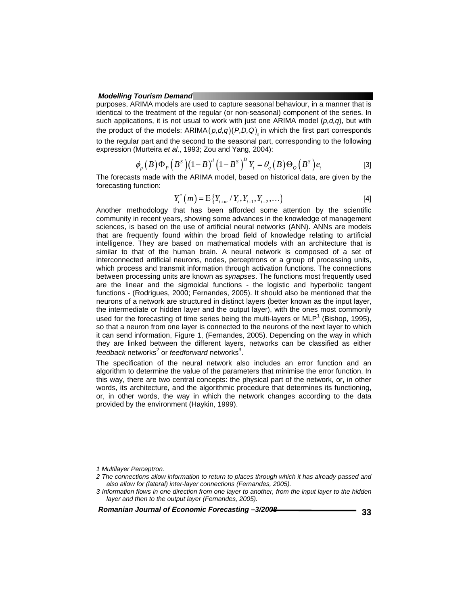purposes, ARIMA models are used to capture seasonal behaviour, in a manner that is identical to the treatment of the regular (or non-seasonal) component of the series. In such applications, it is not usual to work with just one ARIMA model (*p,d,q*), but with the product of the models:  $ARIMA(p,d,q)(P,D,Q)$  in which the first part corresponds to the regular part and the second to the seasonal part, corresponding to the following expression (Murteira *et al*., 1993; Zou and Yang, 2004):

$$
\phi_p(B)\Phi_p(B^s)(1-B)^d(1-B^s)^D Y_t = \theta_q(B)\Theta_Q(B^s)e_t
$$
 [3]

The forecasts made with the ARIMA model, based on historical data, are given by the forecasting function:

$$
Y_t^*(m) = \mathbb{E}\left\{Y_{t+m} / Y_t, Y_{t-1}, Y_{t-2}, \ldots\right\}
$$
 [4]

Another methodology that has been afforded some attention by the scientific community in recent years, showing some advances in the knowledge of management sciences, is based on the use of artificial neural networks (ANN). ANNs are models that are frequently found within the broad field of knowledge relating to artificial intelligence. They are based on mathematical models with an architecture that is similar to that of the human brain. A neural network is composed of a set of interconnected artificial neurons, nodes, perceptrons or a group of processing units, which process and transmit information through activation functions. The connections between processing units are known as *synapses*. The functions most frequently used are the linear and the sigmoidal functions - the logistic and hyperbolic tangent functions - (Rodrigues, 2000; Fernandes, 2005). It should also be mentioned that the neurons of a network are structured in distinct layers (better known as the input layer, the intermediate or hidden layer and the output layer), with the ones most commonly used for the forecasting of time series being the multi-layers or  $MLP<sup>1</sup>$  (Bishop, 1995), so that a neuron from one layer is connected to the neurons of the next layer to which it can send information, Figure 1, (Fernandes, 2005). Depending on the way in which they are linked between the different layers, networks can be classified as either feedback networks<sup>2</sup> or *feedforward* networks<sup>3</sup>.

The specification of the neural network also includes an error function and an algorithm to determine the value of the parameters that minimise the error function. In this way, there are two central concepts: the physical part of the network, or, in other words, its architecture, and the algorithmic procedure that determines its functioning, or, in other words, the way in which the network changes according to the data provided by the environment (Haykin, 1999).

l

Romanian Journal of Economic Forecasting -3/2008 **<b>2008 1997 233** 

*<sup>1</sup> Multilayer Perceptron.* 

*<sup>2</sup> The connections allow information to return to places through which it has already passed and also allow for (lateral) inter-layer connections (Fernandes, 2005).* 

*<sup>3</sup> Information flows in one direction from one layer to another, from the input layer to the hidden layer and then to the output layer (Fernandes, 2005).*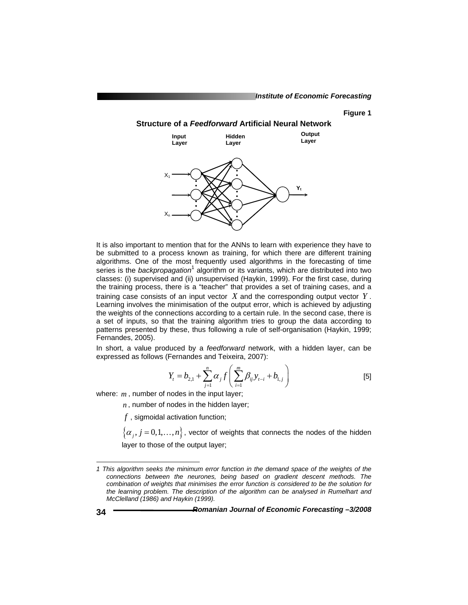#### **Figure 1**

### **Structure of a** *Feedforward* **Artificial Neural Network**



It is also important to mention that for the ANNs to learn with experience they have to be submitted to a process known as training, for which there are different training algorithms. One of the most frequently used algorithms in the forecasting of time series is the *backpropagation*<sup>1</sup> algorithm or its variants, which are distributed into two classes: (i) supervised and (ii) unsupervised (Haykin, 1999). For the first case, during the training process, there is a "teacher" that provides a set of training cases, and a training case consists of an input vector *X* and the corresponding output vector *Y* . Learning involves the minimisation of the output error, which is achieved by adjusting the weights of the connections according to a certain rule. In the second case, there is a set of inputs, so that the training algorithm tries to group the data according to patterns presented by these, thus following a rule of self-organisation (Haykin, 1999; Fernandes, 2005).

In short, a value produced by a *feedforward* network, with a hidden layer, can be expressed as follows (Fernandes and Teixeira, 2007):

$$
Y_{t} = b_{2,1} + \sum_{j=1}^{n} \alpha_{j} f\left(\sum_{i=1}^{m} \beta_{ij} y_{t-i} + b_{1,j}\right)
$$
 [5]

where: *m*, number of nodes in the input layer;

*n* , number of nodes in the hidden layer;

*f* , sigmoidal activation function;

 $\{\alpha_i, j = 0,1,\ldots,n\}$ , vector of weights that connects the nodes of the hidden layer to those of the output layer;

-

*<sup>1</sup> This algorithm seeks the minimum error function in the demand space of the weights of the connections between the neurones, being based on gradient descent methods. The combination of weights that minimises the error function is considered to be the solution for the learning problem. The description of the algorithm can be analysed in Rumelhart and McClelland (1986) and Haykin (1999).*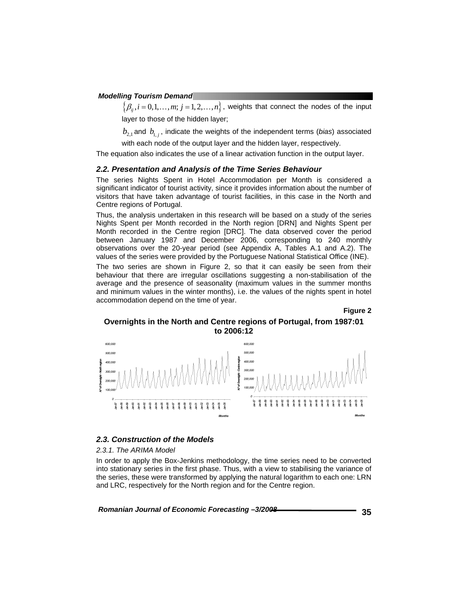$\{\beta_{ii}, i=0,1,\ldots,m; j=1,2,\ldots,n\}$ , weights that connect the nodes of the input layer to those of the hidden layer;

 $b_{21}$  and  $b_{1i}$ , indicate the weights of the independent terms (*bias*) associated

with each node of the output layer and the hidden layer, respectively.

The equation also indicates the use of a linear activation function in the output layer.

#### *2.2. Presentation and Analysis of the Time Series Behaviour*

The series Nights Spent in Hotel Accommodation per Month is considered a significant indicator of tourist activity, since it provides information about the number of visitors that have taken advantage of tourist facilities, in this case in the North and Centre regions of Portugal.

Thus, the analysis undertaken in this research will be based on a study of the series Nights Spent per Month recorded in the North region [DRN] and Nights Spent per Month recorded in the Centre region [DRC]. The data observed cover the period between January 1987 and December 2006, corresponding to 240 monthly observations over the 20-year period (see Appendix A, Tables A.1 and A.2). The values of the series were provided by the Portuguese National Statistical Office (INE).

The two series are shown in Figure 2, so that it can easily be seen from their behaviour that there are irregular oscillations suggesting a non-stabilisation of the average and the presence of seasonality (maximum values in the summer months and minimum values in the winter months), i.e. the values of the nights spent in hotel accommodation depend on the time of year.

**Figure 2** 

#### **Overnights in the North and Centre regions of Portugal, from 1987:01 to 2006:12**



#### *2.3. Construction of the Models*

*2.3.1. The ARIMA Model* 

In order to apply the Box-Jenkins methodology, the time series need to be converted into stationary series in the first phase. Thus, with a view to stabilising the variance of the series, these were transformed by applying the natural logarithm to each one: LRN and LRC, respectively for the North region and for the Centre region.

Romanian Journal of Economic Forecasting -3/2008 **<b>2008 1997 2008 2008**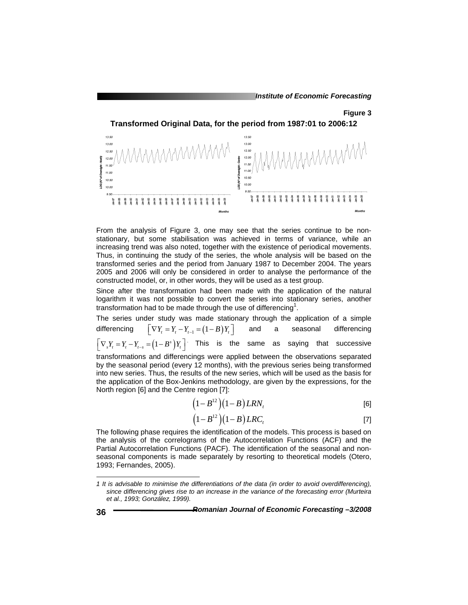#### **Figure 3**

**Transformed Original Data, for the period from 1987:01 to 2006:12** 



From the analysis of Figure 3, one may see that the series continue to be nonstationary, but some stabilisation was achieved in terms of variance, while an increasing trend was also noted, together with the existence of periodical movements. Thus, in continuing the study of the series, the whole analysis will be based on the transformed series and the period from January 1987 to December 2004. The years 2005 and 2006 will only be considered in order to analyse the performance of the constructed model, or, in other words, they will be used as a test group.

Since after the transformation had been made with the application of the natural logarithm it was not possible to convert the series into stationary series, another transformation had to be made through the use of differencing<sup>1</sup>.

The series under study was made stationary through the application of a simple differencing  $\begin{bmatrix} \nabla Y_t = Y_t - Y_{t-1} = (1-B)Y_t \end{bmatrix}$  and a seasonal differencing  $\left[\nabla_s Y_t = Y_t - Y_{t-s} = (1 - B^s) Y_t\right]$  This is the same as saying that successive transformations and differencings were applied between the observations separated by the seasonal period (every 12 months), with the previous series being transformed into new series. Thus, the results of the new series, which will be used as the basis for the application of the Box-Jenkins methodology, are given by the expressions, for the North region [6] and the Centre region [7]:

$$
(1 - B12)(1 - B) LRNt
$$
 [6]

$$
(1 - B12)(1 - B) LRCt
$$
\n<sup>[7]</sup>

The following phase requires the identification of the models. This process is based on the analysis of the correlograms of the Autocorrelation Functions (ACF) and the Partial Autocorrelation Functions (PACF). The identification of the seasonal and nonseasonal components is made separately by resorting to theoretical models (Otero, 1993; Fernandes, 2005).

l

*<sup>1</sup> It is advisable to minimise the differentiations of the data (in order to avoid overdifferencing), since differencing gives rise to an increase in the variance of the forecasting error (Murteira et al., 1993; González, 1999).*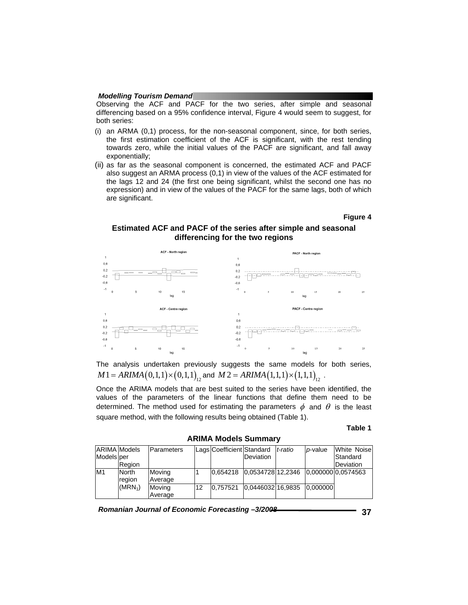Observing the ACF and PACF for the two series, after simple and seasonal differencing based on a 95% confidence interval, Figure 4 would seem to suggest, for both series:

- (i) an ARMA (0,1) process, for the non-seasonal component, since, for both series, the first estimation coefficient of the ACF is significant, with the rest tending towards zero, while the initial values of the PACF are significant, and fall away exponentially;
- (ii) as far as the seasonal component is concerned, the estimated ACF and PACF also suggest an ARMA process (0,1) in view of the values of the ACF estimated for the lags 12 and 24 (the first one being significant, whilst the second one has no expression) and in view of the values of the PACF for the same lags, both of which are significant.

#### **Figure 4**

#### **Estimated ACF and PACF of the series after simple and seasonal differencing for the two regions**



The analysis undertaken previously suggests the same models for both series,  $M1 = ARIMA(0,1,1) \times (0,1,1)$ , and  $M2 = ARIMA(1,1,1) \times (1,1,1)$ , ...

Once the ARIMA models that are best suited to the series have been identified, the values of the parameters of the linear functions that define them need to be determined. The method used for estimating the parameters  $\phi$  and  $\theta$  is the least square method, with the following results being obtained (Table 1).

#### **Table 1**

**ARIMA Models Summary**  ARIMA Models Models per Region Parameters | Lags Coefficient Standard Deviation *t*-*ratio p*-value White Noise Standard Deviation Moving Average M1 North Moving 1 0.654218 0.0534728 12.2346 region  $(MRN<sub>1</sub>)$  Moving Average 12 0,757521 0,0446032 16,9835 0,000000 0.000000 0.0574563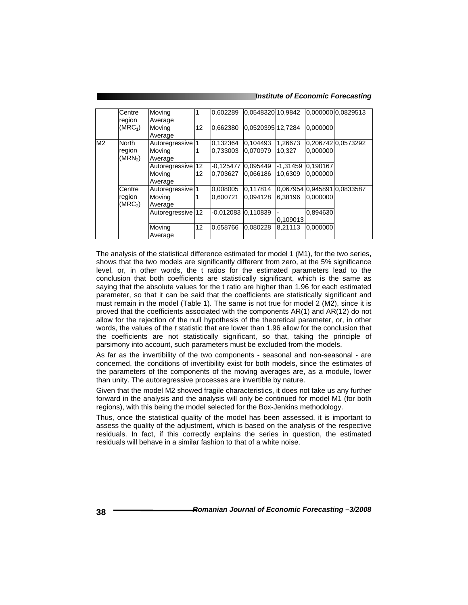#### *Institute of Economic Forecasting*

|                | Centre<br>region              | Moving<br>Average |    | 0.602289           | l0.0548320l10.9842 |            |          | 0.000000 0.0829513          |
|----------------|-------------------------------|-------------------|----|--------------------|--------------------|------------|----------|-----------------------------|
|                | (MRC <sub>1</sub> )           | Moving<br>Average | 12 | 0.662380           | 0.0520395112.7284  |            | 0.000000 |                             |
| M <sub>2</sub> | <b>North</b>                  | Autoregressive 1  |    | 0,132364           | 0.104493           | 1,26673    |          | 0,206742 0,0573292          |
|                | region<br>(MRN <sub>2</sub> ) | Moving<br>Average |    | 0.733003           | 0.070979           | 10.327     | 0.000000 |                             |
|                |                               | Autoregressive 12 |    | -0.125477 0.095449 |                    | $-1.31459$ | 0.190167 |                             |
|                |                               | Moving<br>Average | 12 | 0.703627           | 0.066186           | 10,6309    | 0.000000 |                             |
|                | Centre                        | Autoregressive 1  |    | 0,008005           | 0.117814           |            |          | 0.067954 0.945891 0.0833587 |
|                | region<br>(MRC <sub>2</sub> ) | Moving<br>Average |    | 0.600721           | 0.094128           | 6.38196    | 0.000000 |                             |
|                |                               | Autoregressive 12 |    | -0,012083 0,110839 |                    | 0.109013   | 0.894630 |                             |
|                |                               | Moving<br>Average | 12 | 0.658766           | 0.080228           | 8.21113    | 0.000000 |                             |

The analysis of the statistical difference estimated for model 1 (M1), for the two series, shows that the two models are significantly different from zero, at the 5% significance level, or, in other words, the t ratios for the estimated parameters lead to the conclusion that both coefficients are statistically significant, which is the same as saying that the absolute values for the t ratio are higher than 1.96 for each estimated parameter, so that it can be said that the coefficients are statistically significant and must remain in the model (Table 1). The same is not true for model 2 (M2), since it is proved that the coefficients associated with the components AR(1) and AR(12) do not allow for the rejection of the null hypothesis of the theoretical parameter, or, in other words, the values of the *t* statistic that are lower than 1.96 allow for the conclusion that the coefficients are not statistically significant, so that, taking the principle of parsimony into account, such parameters must be excluded from the models.

As far as the invertibility of the two components - seasonal and non-seasonal - are concerned, the conditions of invertibility exist for both models, since the estimates of the parameters of the components of the moving averages are, as a module, lower than unity. The autoregressive processes are invertible by nature.

Given that the model M2 showed fragile characteristics, it does not take us any further forward in the analysis and the analysis will only be continued for model M1 (for both regions), with this being the model selected for the Box-Jenkins methodology.

Thus, once the statistical quality of the model has been assessed, it is important to assess the quality of the adjustment, which is based on the analysis of the respective residuals. In fact, if this correctly explains the series in question, the estimated residuals will behave in a similar fashion to that of a white noise.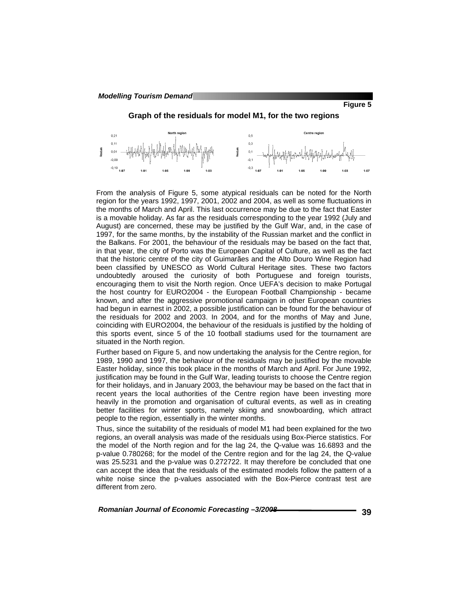**Figure 5** 





From the analysis of Figure 5, some atypical residuals can be noted for the North region for the years 1992, 1997, 2001, 2002 and 2004, as well as some fluctuations in the months of March and April. This last occurrence may be due to the fact that Easter is a movable holiday. As far as the residuals corresponding to the year 1992 (July and August) are concerned, these may be justified by the Gulf War, and, in the case of 1997, for the same months, by the instability of the Russian market and the conflict in the Balkans. For 2001, the behaviour of the residuals may be based on the fact that, in that year, the city of Porto was the European Capital of Culture, as well as the fact that the historic centre of the city of Guimarães and the Alto Douro Wine Region had been classified by UNESCO as World Cultural Heritage sites. These two factors undoubtedly aroused the curiosity of both Portuguese and foreign tourists, encouraging them to visit the North region. Once UEFA's decision to make Portugal the host country for EURO2004 - the European Football Championship - became known, and after the aggressive promotional campaign in other European countries had begun in earnest in 2002, a possible justification can be found for the behaviour of the residuals for 2002 and 2003. In 2004, and for the months of May and June, coinciding with EURO2004, the behaviour of the residuals is justified by the holding of this sports event, since 5 of the 10 football stadiums used for the tournament are situated in the North region.

Further based on Figure 5, and now undertaking the analysis for the Centre region, for 1989, 1990 and 1997, the behaviour of the residuals may be justified by the movable Easter holiday, since this took place in the months of March and April. For June 1992, justification may be found in the Gulf War, leading tourists to choose the Centre region for their holidays, and in January 2003, the behaviour may be based on the fact that in recent years the local authorities of the Centre region have been investing more heavily in the promotion and organisation of cultural events, as well as in creating better facilities for winter sports, namely skiing and snowboarding, which attract people to the region, essentially in the winter months.

Thus, since the suitability of the residuals of model M1 had been explained for the two regions, an overall analysis was made of the residuals using Box-Pierce statistics. For the model of the North region and for the lag 24, the Q-value was 16.6893 and the p-value 0.780268; for the model of the Centre region and for the lag 24, the Q-value was 25.5231 and the p-value was 0.272722. It may therefore be concluded that one can accept the idea that the residuals of the estimated models follow the pattern of a white noise since the p-values associated with the Box-Pierce contrast test are different from zero.

Romanian Journal of Economic Forecasting  $-3/2008$  **2008 1998 1998 29 39**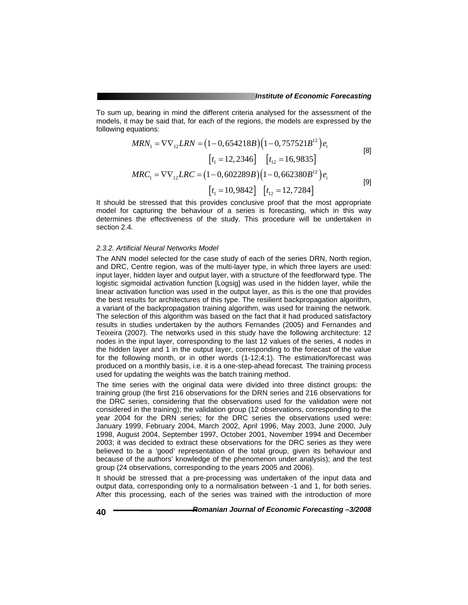To sum up, bearing in mind the different criteria analysed for the assessment of the models, it may be said that, for each of the regions, the models are expressed by the following equations:

$$
MRN_1 = \nabla \nabla_{12} LRN = (1 - 0, 654218B) (1 - 0, 757521B^{12}) e_t
$$
  
\n
$$
\begin{bmatrix} t_1 = 12, 2346 \end{bmatrix} \quad \begin{bmatrix} t_{12} = 16, 9835 \end{bmatrix}
$$
 [8]

$$
MRC_1 = \nabla \nabla_{12} LRC = (1 - 0,602289B)(1 - 0,662380B^{12})e_t
$$
  
\n[ $t_1 = 10,9842$ ] [ $t_{12} = 12,7284$ ] [9]

It should be stressed that this provides conclusive proof that the most appropriate model for capturing the behaviour of a series is forecasting, which in this way determines the effectiveness of the study. This procedure will be undertaken in section 2.4.

#### *2.3.2. Artificial Neural Networks Model*

The ANN model selected for the case study of each of the series DRN, North region, and DRC, Centre region, was of the multi-layer type, in which three layers are used: input layer, hidden layer and output layer, with a structure of the feedforward type. The logistic sigmoidal activation function [Logsig] was used in the hidden layer, while the linear activation function was used in the output layer, as this is the one that provides the best results for architectures of this type. The resilient backpropagation algorithm, a variant of the backpropagation training algorithm, was used for training the network. The selection of this algorithm was based on the fact that it had produced satisfactory results in studies undertaken by the authors Fernandes (2005) and Fernandes and Teixeira (2007). The networks used in this study have the following architecture: 12 nodes in the input layer, corresponding to the last 12 values of the series, 4 nodes in the hidden layer and 1 in the output layer, corresponding to the forecast of the value for the following month, or in other words (1-12;4;1). The estimation/forecast was produced on a monthly basis, i.e. it is a one-step-ahead forecast*.* The training process used for updating the weights was the batch training method.

The time series with the original data were divided into three distinct groups: the training group (the first 216 observations for the DRN series and 216 observations for the DRC series, considering that the observations used for the validation were not considered in the training); the validation group (12 observations, corresponding to the year 2004 for the DRN series; for the DRC series the observations used were: January 1999, February 2004, March 2002, April 1996, May 2003, June 2000, July 1998, August 2004, September 1997, October 2001, November 1994 and December 2003; it was decided to extract these observations for the DRC series as they were believed to be a 'good' representation of the total group, given its behaviour and because of the authors' knowledge of the phenomenon under analysis); and the test group (24 observations, corresponding to the years 2005 and 2006).

It should be stressed that a pre-processing was undertaken of the input data and output data, corresponding only to a normalisation between -1 and 1, for both series. After this processing, each of the series was trained with the introduction of more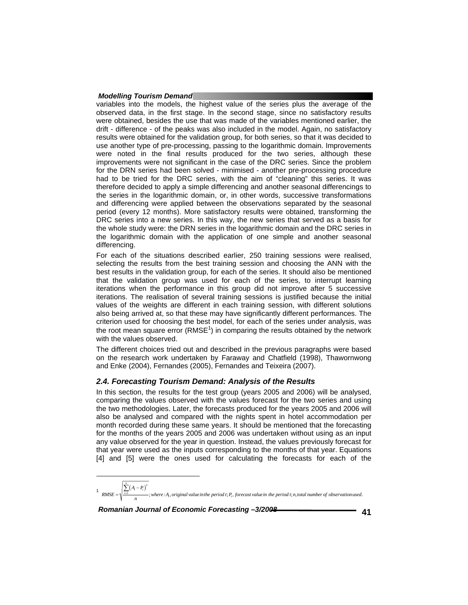variables into the models, the highest value of the series plus the average of the observed data, in the first stage. In the second stage, since no satisfactory results were obtained, besides the use that was made of the variables mentioned earlier, the drift - difference - of the peaks was also included in the model. Again, no satisfactory results were obtained for the validation group, for both series, so that it was decided to use another type of pre-processing, passing to the logarithmic domain. Improvements were noted in the final results produced for the two series, although these improvements were not significant in the case of the DRC series. Since the problem for the DRN series had been solved - minimised - another pre-processing procedure had to be tried for the DRC series, with the aim of "cleaning" this series. It was therefore decided to apply a simple differencing and another seasonal differencings to the series in the logarithmic domain, or, in other words, successive transformations and differencing were applied between the observations separated by the seasonal period (every 12 months). More satisfactory results were obtained, transforming the DRC series into a new series. In this way, the new series that served as a basis for the whole study were: the DRN series in the logarithmic domain and the DRC series in the logarithmic domain with the application of one simple and another seasonal differencing.

For each of the situations described earlier, 250 training sessions were realised, selecting the results from the best training session and choosing the ANN with the best results in the validation group, for each of the series. It should also be mentioned that the validation group was used for each of the series, to interrupt learning iterations when the performance in this group did not improve after 5 successive iterations. The realisation of several training sessions is justified because the initial values of the weights are different in each training session, with different solutions also being arrived at, so that these may have significantly different performances. The criterion used for choosing the best model, for each of the series under analysis, was the root mean square error (RMSE<sup>1</sup>) in comparing the results obtained by the network with the values observed.

The different choices tried out and described in the previous paragraphs were based on the research work undertaken by Faraway and Chatfield (1998), Thawornwong and Enke (2004), Fernandes (2005), Fernandes and Teixeira (2007).

#### *2.4. Forecasting Tourism Demand: Analysis of the Results*

In this section, the results for the test group (years 2005 and 2006) will be analysed, comparing the values observed with the values forecast for the two series and using the two methodologies. Later, the forecasts produced for the years 2005 and 2006 will also be analysed and compared with the nights spent in hotel accommodation per month recorded during these same years. It should be mentioned that the forecasting for the months of the years 2005 and 2006 was undertaken without using as an input any value observed for the year in question. Instead, the values previously forecast for that year were used as the inputs corresponding to the months of that year. Equations [4] and [5] were the ones used for calculating the forecasts for each of the

l  $\frac{1}{2}$   $\sum_{i=1}^{n} (A_i - P_i)^2$ <br>RMSE =  $\sqrt{\sum_{i=1}^{n} (A_i - P_i)^2}$ ; where : A, original value in the period t; P, forecast value in the period t; n, total number of observation used. *n*  $\underline{f}$   $\xrightarrow{t_1}$ <br>  $\xrightarrow{t_1}$ ; where :A<sub>t</sub>, original value in the period t; P<sub>t</sub> *A P*  $RMSE = \sqrt{\frac{\sum_{i=1}^{n} (A_i - P_i)^2}{n}}$ ; where : A<sub>1</sub>, original value in the period t; P<sub>1</sub>, forecast value in the period t; n, total number of observation used  $=\sqrt{\frac{\sum_{t=1}}{x}}$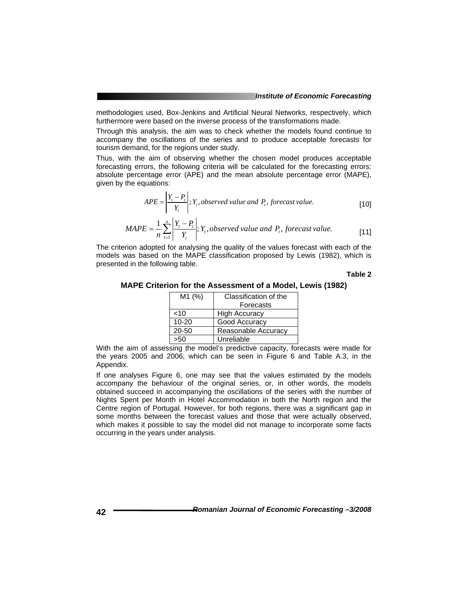methodologies used, Box-Jenkins and Artificial Neural Networks, respectively, which furthermore were based on the inverse process of the transformations made.

Through this analysis, the aim was to check whether the models found continue to accompany the oscillations of the series and to produce acceptable forecasts for tourism demand, for the regions under study.

Thus, with the aim of observing whether the chosen model produces acceptable forecasting errors, the following criteria will be calculated for the forecasting errors: absolute percentage error (APE) and the mean absolute percentage error (MAPE), given by the equations:

$$
APE = \left| \frac{Y_i - P_i}{Y_i} \right|; Y_i, observed \text{ value and } P_i, forecast \text{ value.}
$$
 [10]

$$
MAPE = \frac{1}{n} \sum_{i=1}^{n} \left| \frac{Y_i - P_i}{Y_i} \right|; Y_i, observed \text{ value and } P_i, forecast \text{ value.}
$$
 [11]

The criterion adopted for analysing the quality of the values forecast with each of the models was based on the MAPE classification proposed by Lewis (1982), which is presented in the following table.

**Table 2** 

**MAPE Criterion for the Assessment of a Model, Lewis (1982)** 

| M1 (%)    | Classification of the |  |  |
|-----------|-----------------------|--|--|
|           | Forecasts             |  |  |
| 10<       | <b>High Accuracy</b>  |  |  |
| $10 - 20$ | Good Accuracy         |  |  |
| 20-50     | Reasonable Accuracy   |  |  |
| >50       | Unreliable            |  |  |

With the aim of assessing the model's predictive capacity, forecasts were made for the years 2005 and 2006, which can be seen in Figure 6 and Table A.3, in the Appendix.

If one analyses Figure 6, one may see that the values estimated by the models accompany the behaviour of the original series, or, in other words, the models obtained succeed in accompanying the oscillations of the series with the number of Nights Spent per Month in Hotel Accommodation in both the North region and the Centre region of Portugal. However, for both regions, there was a significant gap in some months between the forecast values and those that were actually observed, which makes it possible to say the model did not manage to incorporate some facts occurring in the years under analysis.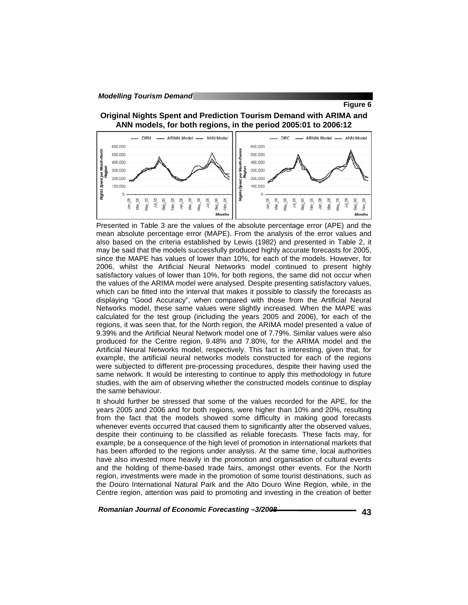**Figure 6** 

#### **Original Nights Spent and Prediction Tourism Demand with ARIMA and ANN models, for both regions, in the period 2005:01 to 2006:12**



Presented in Table 3 are the values of the absolute percentage error (APE) and the mean absolute percentage error (MAPE). From the analysis of the error values and also based on the criteria established by Lewis (1982) and presented in Table 2, it may be said that the models successfully produced highly accurate forecasts for 2005, since the MAPE has values of lower than 10%, for each of the models. However, for 2006, whilst the Artificial Neural Networks model continued to present highly satisfactory values of lower than 10%, for both regions, the same did not occur when the values of the ARIMA model were analysed. Despite presenting satisfactory values, which can be fitted into the interval that makes it possible to classify the forecasts as displaying "Good Accuracy", when compared with those from the Artificial Neural Networks model, these same values were slightly increased. When the MAPE was calculated for the test group (including the years 2005 and 2006), for each of the regions, it was seen that, for the North region, the ARIMA model presented a value of 9.39% and the Artificial Neural Network model one of 7.79%. Similar values were also produced for the Centre region, 9.48% and 7.80%, for the ARIMA model and the Artificial Neural Networks model, respectively. This fact is interesting, given that, for example, the artificial neural networks models constructed for each of the regions were subjected to different pre-processing procedures, despite their having used the same network. It would be interesting to continue to apply this methodology in future studies, with the aim of observing whether the constructed models continue to display the same behaviour.

It should further be stressed that some of the values recorded for the APE, for the years 2005 and 2006 and for both regions, were higher than 10% and 20%, resulting from the fact that the models showed some difficulty in making good forecasts whenever events occurred that caused them to significantly alter the observed values, despite their continuing to be classified as reliable forecasts. These facts may, for example, be a consequence of the high level of promotion in international markets that has been afforded to the regions under analysis. At the same time, local authorities have also invested more heavily in the promotion and organisation of cultural events and the holding of theme-based trade fairs, amongst other events. For the North region, investments were made in the promotion of some tourist destinations, such as the Douro International Natural Park and the Alto Douro Wine Region, while, in the Centre region, attention was paid to promoting and investing in the creation of better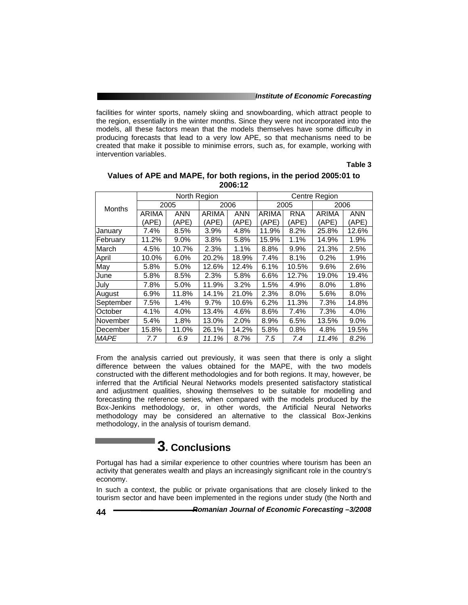#### *Institute of Economic Forecasting*

facilities for winter sports, namely skiing and snowboarding, which attract people to the region, essentially in the winter months. Since they were not incorporated into the models, all these factors mean that the models themselves have some difficulty in producing forecasts that lead to a very low APE, so that mechanisms need to be created that make it possible to minimise errors, such as, for example, working with intervention variables.

**Table 3** 

|               |              | North Region |              |            | Centre Region |            |       |            |  |
|---------------|--------------|--------------|--------------|------------|---------------|------------|-------|------------|--|
| <b>Months</b> |              | 2006<br>2005 |              |            |               | 2005       | 2006  |            |  |
|               | <b>ARIMA</b> | <b>ANN</b>   | <b>ARIMA</b> | <b>ANN</b> | <b>ARIMA</b>  | <b>RNA</b> | ARIMA | <b>ANN</b> |  |
|               | 'APE)        | (APE)        | (APE)        | (APE)      | (APE)         | (APE)      | (APE) | (APE)      |  |
| January       | 7.4%         | 8.5%         | 3.9%         | 4.8%       | 11.9%         | 8.2%       | 25.8% | 12.6%      |  |
| February      | 11.2%        | $9.0\%$      | 3.8%         | 5.8%       | 15.9%         | 1.1%       | 14.9% | 1.9%       |  |
| March         | 4.5%         | 10.7%        | 2.3%         | 1.1%       | 8.8%          | 9.9%       | 21.3% | 2.5%       |  |
| April         | 10.0%        | 6.0%         | 20.2%        | 18.9%      | 7.4%          | 8.1%       | 0.2%  | 1.9%       |  |
| May           | 5.8%         | 5.0%         | 12.6%        | 12.4%      | 6.1%          | 10.5%      | 9.6%  | 2.6%       |  |
| June          | 5.8%         | 8.5%         | 2.3%         | 5.8%       | 6.6%          | 12.7%      | 19.0% | 19.4%      |  |
| July          | 7.8%         | 5.0%         | 11.9%        | 3.2%       | 1.5%          | 4.9%       | 8.0%  | 1.8%       |  |
| August        | 6.9%         | 11.8%        | 14.1%        | 21.0%      | 2.3%          | 8.0%       | 5.6%  | 8.0%       |  |
| September     | 7.5%         | 1.4%         | 9.7%         | 10.6%      | 6.2%          | 11.3%      | 7.3%  | 14.8%      |  |
| October       | 4.1%         | 4.0%         | 13.4%        | 4.6%       | 8.6%          | 7.4%       | 7.3%  | 4.0%       |  |
| November      | 5.4%         | 1.8%         | 13.0%        | 2.0%       | 8.9%          | 6.5%       | 13.5% | 9.0%       |  |
| December      | 15.8%        | 11.0%        | 26.1%        | 14.2%      | 5.8%          | 0.8%       | 4.8%  | 19.5%      |  |
| <b>MAPE</b>   | 7.7          | 6.9          | 11.1%        | 8.7%       | 7.5           | 7.4        | 11.4% | 8.2%       |  |

#### **Values of APE and MAPE, for both regions, in the period 2005:01 to 2006:12**

From the analysis carried out previously, it was seen that there is only a slight difference between the values obtained for the MAPE, with the two models constructed with the different methodologies and for both regions. It may, however, be inferred that the Artificial Neural Networks models presented satisfactory statistical and adjustment qualities, showing themselves to be suitable for modelling and forecasting the reference series, when compared with the models produced by the Box-Jenkins methodology, or, in other words, the Artificial Neural Networks methodology may be considered an alternative to the classical Box-Jenkins methodology, in the analysis of tourism demand.

# **3. Conclusions**

Portugal has had a similar experience to other countries where tourism has been an activity that generates wealth and plays an increasingly significant role in the country's economy.

In such a context, the public or private organisations that are closely linked to the tourism sector and have been implemented in the regions under study (the North and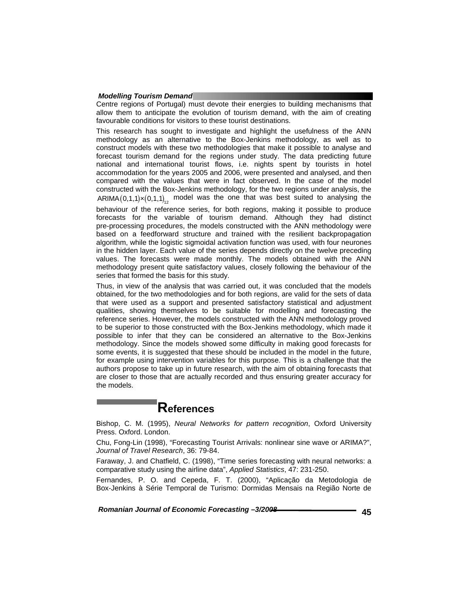Centre regions of Portugal) must devote their energies to building mechanisms that allow them to anticipate the evolution of tourism demand, with the aim of creating favourable conditions for visitors to these tourist destinations.

This research has sought to investigate and highlight the usefulness of the ANN methodology as an alternative to the Box-Jenkins methodology, as well as to construct models with these two methodologies that make it possible to analyse and forecast tourism demand for the regions under study. The data predicting future national and international tourist flows, i.e. nights spent by tourists in hotel accommodation for the years 2005 and 2006, were presented and analysed, and then compared with the values that were in fact observed. In the case of the model constructed with the Box-Jenkins methodology, for the two regions under analysis, the  $ARIMA(0,1,1)\times(0,1,1)<sub>12</sub>$  model was the one that was best suited to analysing the

behaviour of the reference series, for both regions, making it possible to produce forecasts for the variable of tourism demand. Although they had distinct pre-processing procedures, the models constructed with the ANN methodology were based on a feedforward structure and trained with the resilient backpropagation algorithm, while the logistic sigmoidal activation function was used, with four neurones in the hidden layer. Each value of the series depends directly on the twelve preceding values. The forecasts were made monthly. The models obtained with the ANN methodology present quite satisfactory values, closely following the behaviour of the series that formed the basis for this study.

Thus, in view of the analysis that was carried out, it was concluded that the models obtained, for the two methodologies and for both regions, are valid for the sets of data that were used as a support and presented satisfactory statistical and adjustment qualities, showing themselves to be suitable for modelling and forecasting the reference series. However, the models constructed with the ANN methodology proved to be superior to those constructed with the Box-Jenkins methodology, which made it possible to infer that they can be considered an alternative to the Box-Jenkins methodology. Since the models showed some difficulty in making good forecasts for some events, it is suggested that these should be included in the model in the future, for example using intervention variables for this purpose. This is a challenge that the authors propose to take up in future research, with the aim of obtaining forecasts that are closer to those that are actually recorded and thus ensuring greater accuracy for the models.

## **References**

Bishop, C. M. (1995), *Neural Networks for pattern recognition*, Oxford University Press. Oxford. London.

Chu, Fong-Lin (1998), "Forecasting Tourist Arrivals: nonlinear sine wave or ARIMA?", *Journal of Travel Research*, 36: 79-84.

Faraway, J. and Chatfield, C. (1998), "Time series forecasting with neural networks: a comparative study using the airline data", *Applied Statistics*, 47: 231-250.

Fernandes, P. O. and Cepeda, F. T. (2000), "Aplicação da Metodologia de Box-Jenkins à Série Temporal de Turismo: Dormidas Mensais na Região Norte de

Romanian Journal of Economic Forecasting -3/2008 **<b>1997 1998 1998**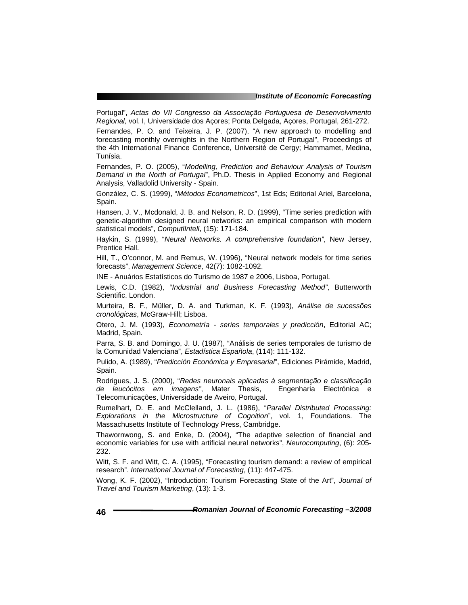Portugal", *Actas do VII Congresso da Associação Portuguesa de Desenvolvimento Regional,* vol. I, Universidade dos Açores; Ponta Delgada, Açores, Portugal, 261-272.

Fernandes, P. O. and Teixeira, J. P. (2007), "A new approach to modelling and forecasting monthly overnights in the Northern Region of Portugal", Proceedings of the 4th International Finance Conference, Université de Cergy; Hammamet, Medina, Tunísia.

Fernandes, P. O. (2005), "*Modelling, Prediction and Behaviour Analysis of Tourism Demand in the North of Portugal*", Ph.D. Thesis in Applied Economy and Regional Analysis, Valladolid University - Spain.

González, C. S. (1999), "*Métodos Econometricos*", 1st Eds; Editorial Ariel, Barcelona, Spain.

Hansen, J. V., Mcdonald, J. B. and Nelson, R. D. (1999), "Time series prediction with genetic-algorithm designed neural networks: an empirical comparison with modern statistical models", *ComputlIntell*, (15): 171-184.

Haykin, S. (1999), "*Neural Networks. A comprehensive foundation"*, New Jersey, Prentice Hall.

Hill, T., O'connor, M. and Remus, W. (1996), "Neural network models for time series forecasts", *Management Science*, 42(7): 1082-1092.

INE - Anuários Estatísticos do Turismo de 1987 e 2006, Lisboa, Portugal.

Lewis, C.D. (1982), "*Industrial and Business Forecasting Method"*, Butterworth Scientific. London.

Murteira, B. F., Müller, D. A. and Turkman, K. F. (1993), *Análise de sucessões cronológicas*, McGraw-Hill; Lisboa.

Otero, J. M. (1993), *Econometría - series temporales y predicción*, Editorial AC; Madrid, Spain.

Parra, S. B. and Domingo, J. U. (1987), "Análisis de series temporales de turismo de la Comunidad Valenciana", *Estadística Española*, (114): 111-132.

Pulido, A. (1989), "*Predicción Económica y Empresarial*", Ediciones Pirámide, Madrid, Spain.

Rodrigues, J. S. (2000), "*Redes neuronais aplicadas à segmentação e classificação de leucócitos em imagens"*, Mater Thesis, Engenharia Electrónica e Telecomunicações, Universidade de Aveiro, Portugal.

Rumelhart, D. E. and McClelland, J. L. (1986), "*Parallel Distributed Processing: Explorations in the Microstructure of Cognition*", vol. 1, Foundations. The Massachusetts Institute of Technology Press, Cambridge.

Thawornwong, S. and Enke, D. (2004), "The adaptive selection of financial and economic variables for use with artificial neural networks", *Neurocomputing*, (6): 205- 232.

Witt, S. F. and Witt, C. A. (1995), "Forecasting tourism demand: a review of empirical research". *International Journal of Forecasting*, (11): 447-475.

Wong, K. F. (2002), "Introduction: Tourism Forecasting State of the Art", *Journal of Travel and Tourism Marketing*, (13): 1-3.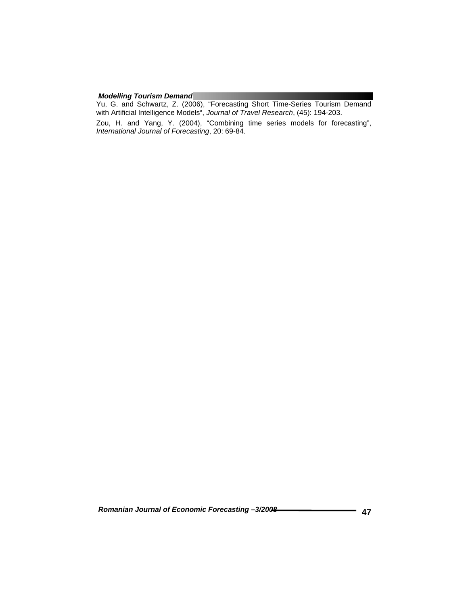Yu, G. and Schwartz, Z. (2006), "Forecasting Short Time-Series Tourism Demand with Artificial Intelligence Models", *Journal of Travel Research*, (45): 194-203.

Zou, H. and Yang, Y. (2004), "Combining time series models for forecasting", *International Journal of Forecasting*, 20: 69-84.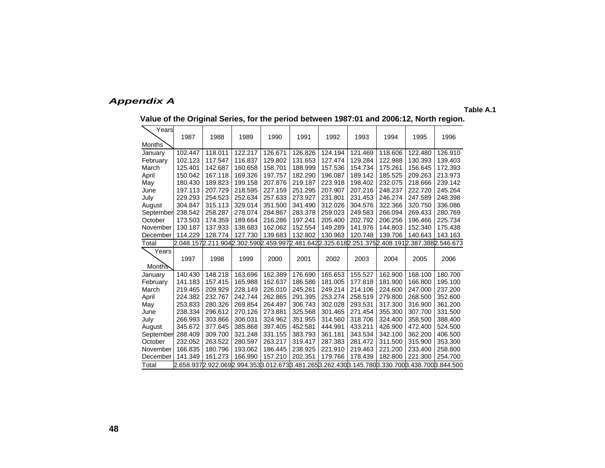### *Appendix A*

**Table A.1** 

|  | Value of the Original Series, for the period between 1987:01 and 2006:12, North region. |  |
|--|-----------------------------------------------------------------------------------------|--|
|  |                                                                                         |  |

| Years         |         |         |         |         |         |         |         |                                                                                                     |         |         |
|---------------|---------|---------|---------|---------|---------|---------|---------|-----------------------------------------------------------------------------------------------------|---------|---------|
|               | 1987    | 1988    | 1989    | 1990    | 1991    | 1992    | 1993    | 1994                                                                                                | 1995    | 1996    |
| Months        |         |         |         |         |         |         |         |                                                                                                     |         |         |
| January       | 102.447 | 118.011 | 122.217 | 126.671 | 126.826 | 124.194 | 121.469 | 118,606                                                                                             | 122.480 | 126.910 |
| February      | 102.123 | 117.547 | 116.837 | 129.802 | 131.653 | 127.474 | 129.284 | 122.988                                                                                             | 130.393 | 139.403 |
| March         | 125.401 | 142.687 | 160.658 | 158.701 | 188.999 | 157.536 | 154.734 | 175.261                                                                                             | 156.645 | 172.393 |
| April         | 150.042 | 167.118 | 169.326 | 197.757 | 182.290 | 196.087 | 189.142 | 185.525                                                                                             | 209.263 | 213.973 |
| May           | 180.430 | 189.823 | 199.158 | 207.876 | 219.187 | 223.918 | 198.402 | 232.075                                                                                             | 218.666 | 239.142 |
| June          | 197.113 | 207.729 | 218.595 | 227.159 | 251.295 | 207.907 | 207.216 | 248.237                                                                                             | 222.720 | 245.264 |
| July          | 229.293 | 254.523 | 252.634 | 257.633 | 273.927 | 231.801 | 231.453 | 246.274                                                                                             | 247.589 | 248.398 |
| August        | 304.847 | 315.113 | 329.014 | 351.500 | 341.490 | 312.026 | 304.576 | 322.366                                                                                             | 320.750 | 336.086 |
| September     | 238.542 | 258.287 | 278.074 | 284.867 | 283.378 | 259.023 | 249.583 | 266.094                                                                                             | 269.433 | 280.769 |
| October       | 173.503 | 174.359 | 189.664 | 216.286 | 197.241 | 205.400 | 202.792 | 206.256                                                                                             | 196.466 | 225.734 |
| November      | 130.187 | 137.933 | 138.683 | 162.062 | 152.554 | 149.289 | 141.976 | 144.803                                                                                             | 152.340 | 175.438 |
| December      | 114.229 | 128.774 | 127.730 | 139.683 | 132.802 | 130.963 | 120.748 | 139.706                                                                                             | 140.643 | 143.163 |
| Total         |         |         |         |         |         |         |         | 2.048.157 2.211.904 2.302.590 2.459.997 2.481.642 2.325.618 2.251.375 2.408.191 2.387.388 2.546.673 |         |         |
| Years         |         |         |         |         |         |         |         |                                                                                                     |         |         |
|               | 1997    | 1998    | 1999    | 2000    | 2001    | 2002    | 2003    | 2004                                                                                                | 2005    | 2006    |
| <b>Months</b> |         |         |         |         |         |         |         |                                                                                                     |         |         |
| January       | 140.430 | 148.218 | 163.696 | 162.389 | 176.690 | 165.653 | 155.527 | 162.900                                                                                             | 168.100 | 180.700 |
| February      | 141.183 | 157.415 | 165.988 | 162.637 | 186.586 | 181.005 | 177.818 | 181.900                                                                                             | 166.800 | 195.100 |
| March         | 219.465 | 209.929 | 228.149 | 226.010 | 245.261 | 249.214 | 214.106 | 224.600                                                                                             | 247.000 | 237.200 |
| April         | 224.382 | 232.767 | 242.744 | 262.865 | 291.395 | 253.274 | 258.519 | 279.800                                                                                             | 268.500 | 352.600 |
| May           | 253.833 | 280.326 | 269.854 | 264.497 | 306.743 | 302.028 | 293.531 | 317.300                                                                                             | 316.900 | 361.200 |
| June          | 238.334 | 296.612 | 270.126 | 273.881 | 325.568 | 301.465 | 271.454 | 355.300                                                                                             | 307.700 | 331.500 |
| July          | 266.993 | 303.866 | 306.031 | 324.962 | 351.955 | 314.560 | 318.706 | 324.400                                                                                             | 358.500 | 388.400 |
| August        | 345.672 | 377.645 | 385.868 | 397.405 | 452.581 | 444.991 | 433.211 | 426.900                                                                                             | 472.400 | 524.500 |
| September     | 288.409 | 309.700 | 321.248 | 331.155 | 383.793 | 361.181 | 343.534 | 342.100                                                                                             | 362.200 | 406.500 |
| October       | 232.052 | 263.522 | 280.597 | 263.217 | 319.417 | 287.383 | 281.472 | 311.500                                                                                             | 315.900 | 353.300 |
| November      | 166.835 | 180.796 | 193.062 | 186.445 | 238.925 | 221.910 | 219.463 | 221.200                                                                                             | 233.400 | 258.800 |
| December      | 141.349 | 161.273 | 166.990 | 157.210 | 202.351 | 179.766 | 178.439 | 182.800                                                                                             | 221.300 | 254.700 |
| Total         |         |         |         |         |         |         |         | 2.658.9372.922.0692.994.3533.012.6733.481.2653.262.4303.145.7803.330.7003.438.7003.844.500          |         |         |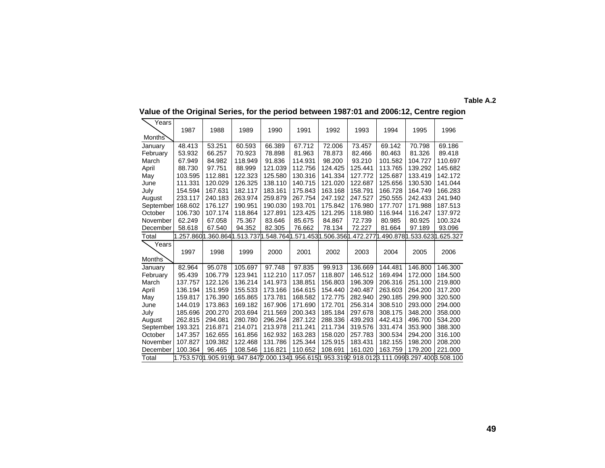| Years             |         |                            |         |         |                                        |         |         |         |         |                           |
|-------------------|---------|----------------------------|---------|---------|----------------------------------------|---------|---------|---------|---------|---------------------------|
|                   | 1987    | 1988                       | 1989    | 1990    | 1991                                   | 1992    | 1993    | 1994    | 1995    | 1996                      |
| Months'           |         |                            |         |         |                                        |         |         |         |         |                           |
| January           | 48.413  | 53.251                     | 60.593  | 66.389  | 67.712                                 | 72.006  | 73.457  | 69.142  | 70.798  | 69.186                    |
| February          | 53.932  | 66.257                     | 70.923  | 78.898  | 81.963                                 | 78.873  | 82.466  | 80.463  | 81.326  | 89.418                    |
| March             | 67.949  | 84.982                     | 118.949 | 91.836  | 114.931                                | 98.200  | 93.210  | 101.582 | 104.727 | 110.697                   |
| April             | 88.730  | 97.751                     | 88.999  | 121.039 | 112.756                                | 124.425 | 125.441 | 113.765 | 139.292 | 145.682                   |
| May               | 103.595 | 112.881                    | 122.323 | 125.580 | 130.316                                | 141.334 | 127.772 | 125.687 | 133.419 | 142.172                   |
| June              | 111.331 | 120.029                    | 126.325 | 138.110 | 140.715                                | 121.020 | 122.687 | 125.656 | 130.530 | 141.044                   |
| July              | 154.594 | 167.631                    | 182.117 | 183.161 | 175.843                                | 163.168 | 158.791 | 166.728 | 164.749 | 166.283                   |
| August            | 233.117 | 240.183                    | 263.974 | 259.879 | 267.754                                | 247.192 | 247.527 | 250.555 | 242.433 | 241.940                   |
| September         | 168.602 | 176.127                    | 190.951 | 190.030 | 193.701                                | 175.842 | 176.980 | 177.707 | 171.988 | 187.513                   |
| October           | 106.730 | 107.174                    | 118.864 | 127.891 | 123.425                                | 121.295 | 118.980 | 116.944 | 116.247 | 137.972                   |
| November          | 62.249  | 67.058                     | 75.367  | 83.646  | 85.675                                 | 84.867  | 72.739  | 80.985  | 80.925  | 100.324                   |
| December          | 58.618  | 67.540                     | 94.352  | 82.305  | 76.662                                 | 78.134  | 72.227  | 81.664  | 97.189  | 93.096                    |
| Total             |         | .257.8601.360.8641.513.737 |         |         | .548.764 1.571.453 1.506.356 1.472.277 |         |         |         |         | 490.8781.533.6231.625.327 |
|                   |         |                            |         |         |                                        |         |         |         |         |                           |
| Years             |         |                            |         |         |                                        |         |         |         |         |                           |
|                   | 1997    | 1998                       | 1999    | 2000    | 2001                                   | 2002    | 2003    | 2004    | 2005    | 2006                      |
| Months            |         |                            |         |         |                                        |         |         |         |         |                           |
| January           | 82.964  | 95.078                     | 105.697 | 97.748  | 97.835                                 | 99.913  | 136.669 | 144.481 | 146.800 | 146.300                   |
| February          | 95.439  | 106.779                    | 123.941 | 112.210 | 117.057                                | 118.807 | 146.512 | 169.494 | 172.000 | 184.500                   |
| March             | 137.757 | 122.126                    | 136.214 | 141.973 | 138.851                                | 156.803 | 196.309 | 206.316 | 251.100 | 219.800                   |
| April             | 136.194 | 151.959                    | 155.533 | 173.166 | 164.615                                | 154.440 | 240.487 | 263.603 | 264.200 | 317.200                   |
| May               | 159.817 | 176.390                    | 165.865 | 173.781 | 168.582                                | 172.775 | 282.940 | 290.185 | 299.900 | 320.500                   |
| June              | 144.019 | 173.863                    | 169.182 | 167.906 | 171.690                                | 172.701 | 256.314 | 308.510 | 293.000 | 294.000                   |
| July              | 185.696 | 200.270                    | 203.694 | 211.569 | 200.343                                | 185.184 | 297.678 | 308.175 | 348.200 | 358.000                   |
| August            | 262.815 | 294.081                    | 280.780 | 296.264 | 287.122                                | 288.336 | 439.293 | 442.413 | 496.700 | 534.200                   |
| September         | 193.321 | 216.871                    | 214.071 | 213.978 | 211.241                                | 211.734 | 319.576 | 331.474 | 353.900 | 388.300                   |
| October           | 147.357 | 162.655                    | 161.856 | 162.932 | 163.283                                | 158.020 | 257.783 | 300.534 | 294.200 | 316.100                   |
| November          | 107.827 | 109.382                    | 122.468 | 131.786 | 125.344                                | 125.915 | 183.431 | 182.155 | 198.200 | 208.200                   |
| December<br>Total | 100.364 | 96.465                     | 108.546 | 116.821 | 110.652                                | 108.691 | 161.020 | 163.759 | 179.200 | 221.000                   |

**Value of the Original Series, for the period between 1987:01 and 2006:12, Centre region** 

**Table A.2**